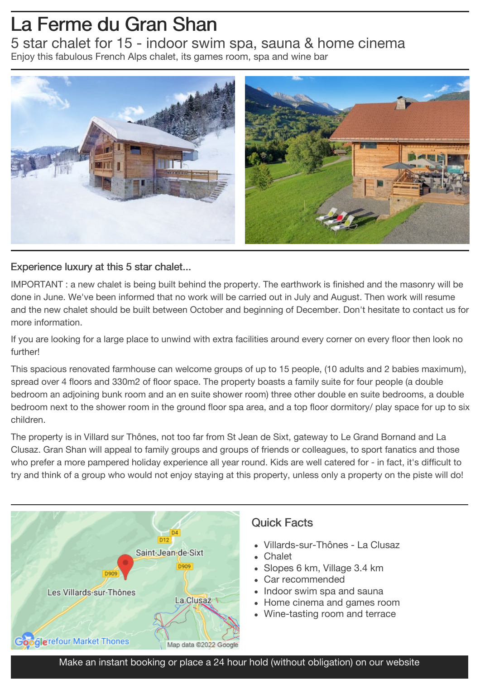## La Ferme du Gran Shan

5 star chalet for 15 - indoor swim spa, sauna & home cinema Enjoy this fabulous French Alps chalet, its games room, spa and wine bar



## Experience luxury at this 5 star chalet...

IMPORTANT : a new chalet is being built behind the property. The earthwork is finished and the masonry will be done in June. We've been informed that no work will be carried out in July and August. Then work will resume and the new chalet should be built between October and beginning of December. Don't hesitate to contact us for more information.

If you are looking for a large place to unwind with extra facilities around every corner on every floor then look no further!

This spacious renovated farmhouse can welcome groups of up to 15 people, (10 adults and 2 babies maximum), spread over 4 floors and 330m2 of floor space. The property boasts a family suite for four people (a double bedroom an adjoining bunk room and an en suite shower room) three other double en suite bedrooms, a double bedroom next to the shower room in the ground floor spa area, and a top floor dormitory/ play space for up to six children.

The property is in Villard sur Thônes, not too far from St Jean de Sixt, gateway to Le Grand Bornand and La Clusaz. Gran Shan will appeal to family groups and groups of friends or colleagues, to sport fanatics and those who prefer a more pampered holiday experience all year round. Kids are well catered for - in fact, it's difficult to try and think of a group who would not enjoy staying at this property, unless only a property on the piste will do!



Make an instant booking or place a 24 hour hold (without obligation) on our website